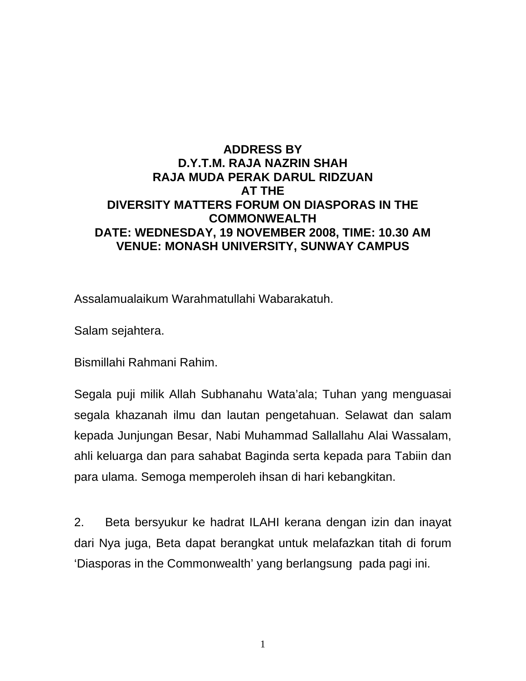## **ADDRESS BY D.Y.T.M. RAJA NAZRIN SHAH RAJA MUDA PERAK DARUL RIDZUAN AT THE DIVERSITY MATTERS FORUM ON DIASPORAS IN THE COMMONWEALTH DATE: WEDNESDAY, 19 NOVEMBER 2008, TIME: 10.30 AM VENUE: MONASH UNIVERSITY, SUNWAY CAMPUS**

Assalamualaikum Warahmatullahi Wabarakatuh.

Salam sejahtera.

Bismillahi Rahmani Rahim.

Segala puji milik Allah Subhanahu Wata'ala; Tuhan yang menguasai segala khazanah ilmu dan lautan pengetahuan. Selawat dan salam kepada Junjungan Besar, Nabi Muhammad Sallallahu Alai Wassalam, ahli keluarga dan para sahabat Baginda serta kepada para Tabiin dan para ulama. Semoga memperoleh ihsan di hari kebangkitan.

2. Beta bersyukur ke hadrat ILAHI kerana dengan izin dan inayat dari Nya juga, Beta dapat berangkat untuk melafazkan titah di forum 'Diasporas in the Commonwealth' yang berlangsung pada pagi ini.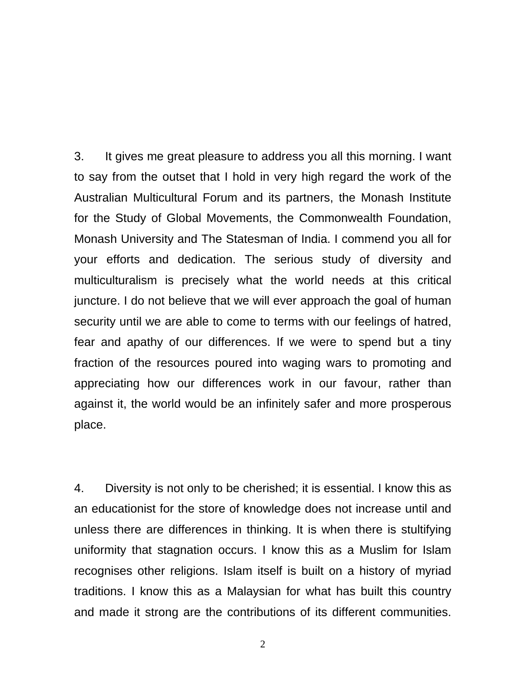3. It gives me great pleasure to address you all this morning. I want to say from the outset that I hold in very high regard the work of the Australian Multicultural Forum and its partners, the Monash Institute for the Study of Global Movements, the Commonwealth Foundation, Monash University and The Statesman of India. I commend you all for your efforts and dedication. The serious study of diversity and multiculturalism is precisely what the world needs at this critical juncture. I do not believe that we will ever approach the goal of human security until we are able to come to terms with our feelings of hatred, fear and apathy of our differences. If we were to spend but a tiny fraction of the resources poured into waging wars to promoting and appreciating how our differences work in our favour, rather than against it, the world would be an infinitely safer and more prosperous place.

4. Diversity is not only to be cherished; it is essential. I know this as an educationist for the store of knowledge does not increase until and unless there are differences in thinking. It is when there is stultifying uniformity that stagnation occurs. I know this as a Muslim for Islam recognises other religions. Islam itself is built on a history of myriad traditions. I know this as a Malaysian for what has built this country and made it strong are the contributions of its different communities.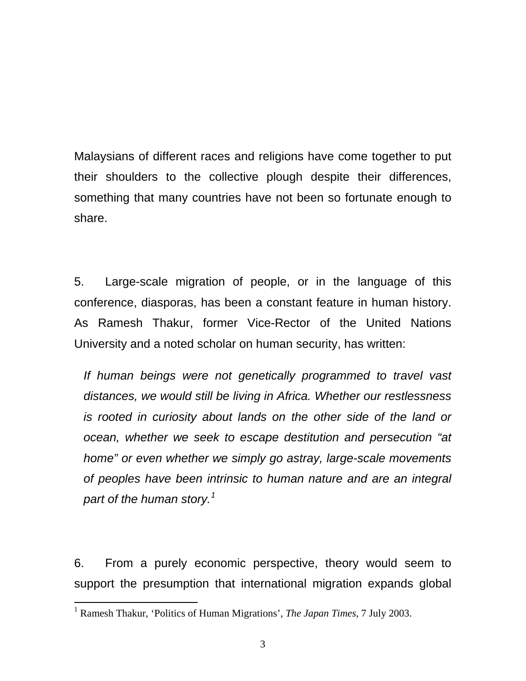Malaysians of different races and religions have come together to put their shoulders to the collective plough despite their differences, something that many countries have not been so fortunate enough to share.

5. Large-scale migration of people, or in the language of this conference, diasporas, has been a constant feature in human history. As Ramesh Thakur, former Vice-Rector of the United Nations University and a noted scholar on human security, has written:

*If human beings were not genetically programmed to travel vast distances, we would still be living in Africa. Whether our restlessness is rooted in curiosity about lands on the other side of the land or ocean, whether we seek to escape destitution and persecution "at home" or even whether we simply go astray, large-scale movements of peoples have been intrinsic to human nature and are an integral part of the human story.[1](#page-2-0)* 

6. From a purely economic perspective, theory would seem to support the presumption that international migration expands global

<span id="page-2-0"></span> 1 Ramesh Thakur, 'Politics of Human Migrations', *The Japan Times*, 7 July 2003.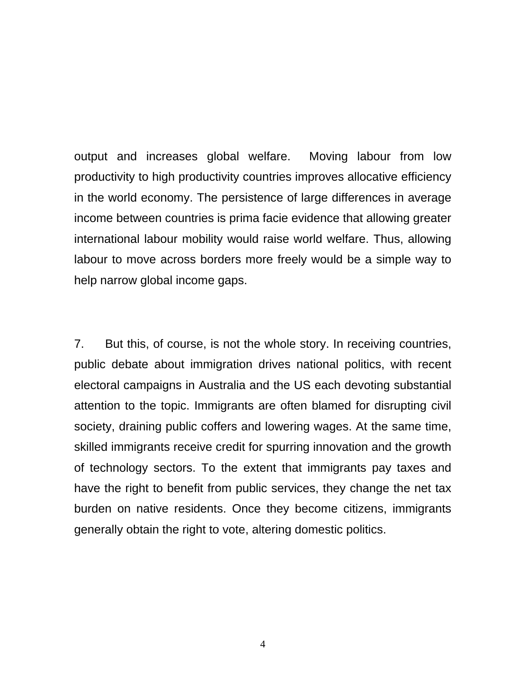output and increases global welfare. Moving labour from low productivity to high productivity countries improves allocative efficiency in the world economy. The persistence of large differences in average income between countries is prima facie evidence that allowing greater international labour mobility would raise world welfare. Thus, allowing labour to move across borders more freely would be a simple way to help narrow global income gaps.

7. But this, of course, is not the whole story. In receiving countries, public debate about immigration drives national politics, with recent electoral campaigns in Australia and the US each devoting substantial attention to the topic. Immigrants are often blamed for disrupting civil society, draining public coffers and lowering wages. At the same time, skilled immigrants receive credit for spurring innovation and the growth of technology sectors. To the extent that immigrants pay taxes and have the right to benefit from public services, they change the net tax burden on native residents. Once they become citizens, immigrants generally obtain the right to vote, altering domestic politics.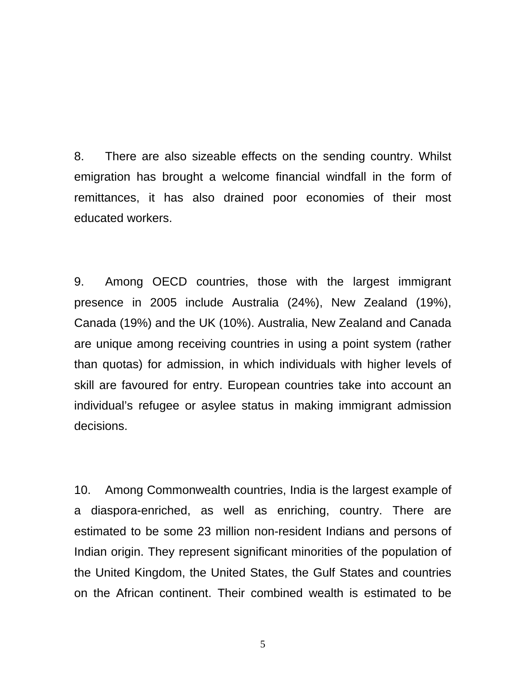8. There are also sizeable effects on the sending country. Whilst emigration has brought a welcome financial windfall in the form of remittances, it has also drained poor economies of their most educated workers.

9. Among OECD countries, those with the largest immigrant presence in 2005 include Australia (24%), New Zealand (19%), Canada (19%) and the UK (10%). Australia, New Zealand and Canada are unique among receiving countries in using a point system (rather than quotas) for admission, in which individuals with higher levels of skill are favoured for entry. European countries take into account an individual's refugee or asylee status in making immigrant admission decisions.

10. Among Commonwealth countries, India is the largest example of a diaspora-enriched, as well as enriching, country. There are estimated to be some 23 million non-resident Indians and persons of Indian origin. They represent significant minorities of the population of the United Kingdom, the United States, the Gulf States and countries on the African continent. Their combined wealth is estimated to be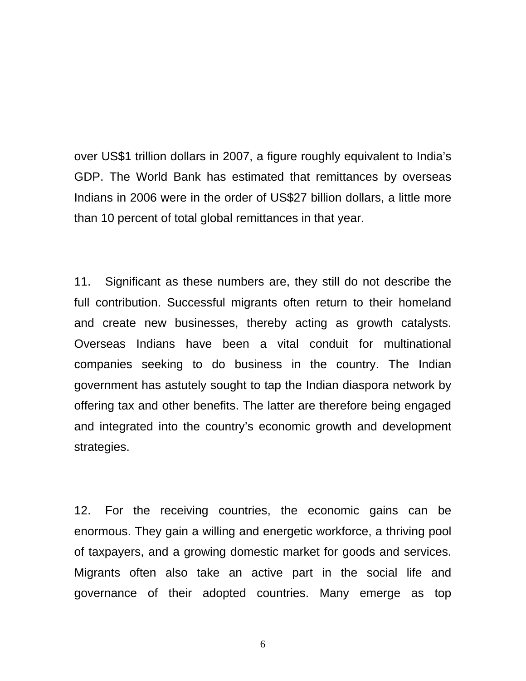over US\$1 trillion dollars in 2007, a figure roughly equivalent to India's GDP. The World Bank has estimated that remittances by overseas Indians in 2006 were in the order of US\$27 billion dollars, a little more than 10 percent of total global remittances in that year.

11. Significant as these numbers are, they still do not describe the full contribution. Successful migrants often return to their homeland and create new businesses, thereby acting as growth catalysts. Overseas Indians have been a vital conduit for multinational companies seeking to do business in the country. The Indian government has astutely sought to tap the Indian diaspora network by offering tax and other benefits. The latter are therefore being engaged and integrated into the country's economic growth and development strategies.

12. For the receiving countries, the economic gains can be enormous. They gain a willing and energetic workforce, a thriving pool of taxpayers, and a growing domestic market for goods and services. Migrants often also take an active part in the social life and governance of their adopted countries. Many emerge as top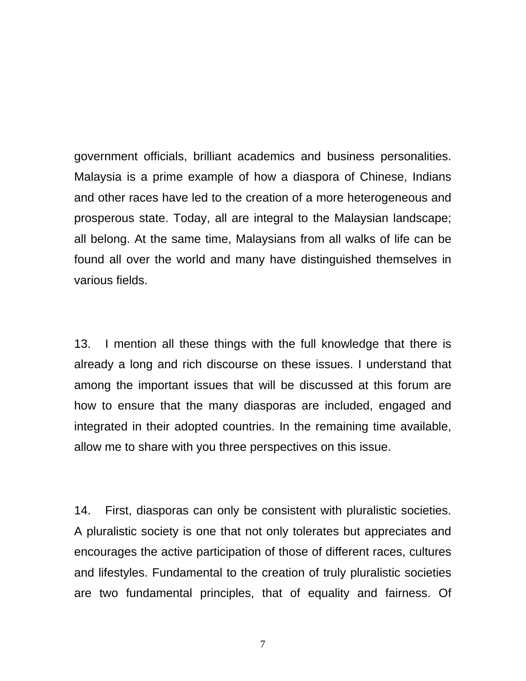government officials, brilliant academics and business personalities. Malaysia is a prime example of how a diaspora of Chinese, Indians and other races have led to the creation of a more heterogeneous and prosperous state. Today, all are integral to the Malaysian landscape; all belong. At the same time, Malaysians from all walks of life can be found all over the world and many have distinguished themselves in various fields.

13. I mention all these things with the full knowledge that there is already a long and rich discourse on these issues. I understand that among the important issues that will be discussed at this forum are how to ensure that the many diasporas are included, engaged and integrated in their adopted countries. In the remaining time available, allow me to share with you three perspectives on this issue.

14. First, diasporas can only be consistent with pluralistic societies. A pluralistic society is one that not only tolerates but appreciates and encourages the active participation of those of different races, cultures and lifestyles. Fundamental to the creation of truly pluralistic societies are two fundamental principles, that of equality and fairness. Of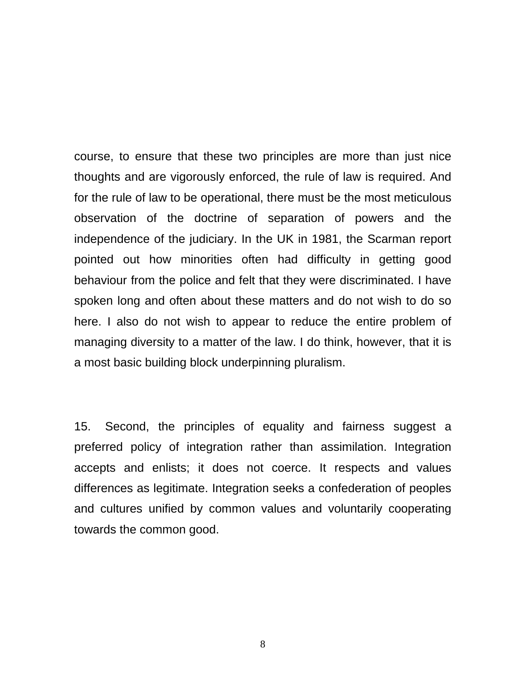course, to ensure that these two principles are more than just nice thoughts and are vigorously enforced, the rule of law is required. And for the rule of law to be operational, there must be the most meticulous observation of the doctrine of separation of powers and the independence of the judiciary. In the UK in 1981, the Scarman report pointed out how minorities often had difficulty in getting good behaviour from the police and felt that they were discriminated. I have spoken long and often about these matters and do not wish to do so here. I also do not wish to appear to reduce the entire problem of managing diversity to a matter of the law. I do think, however, that it is a most basic building block underpinning pluralism.

15. Second, the principles of equality and fairness suggest a preferred policy of integration rather than assimilation. Integration accepts and enlists; it does not coerce. It respects and values differences as legitimate. Integration seeks a confederation of peoples and cultures unified by common values and voluntarily cooperating towards the common good.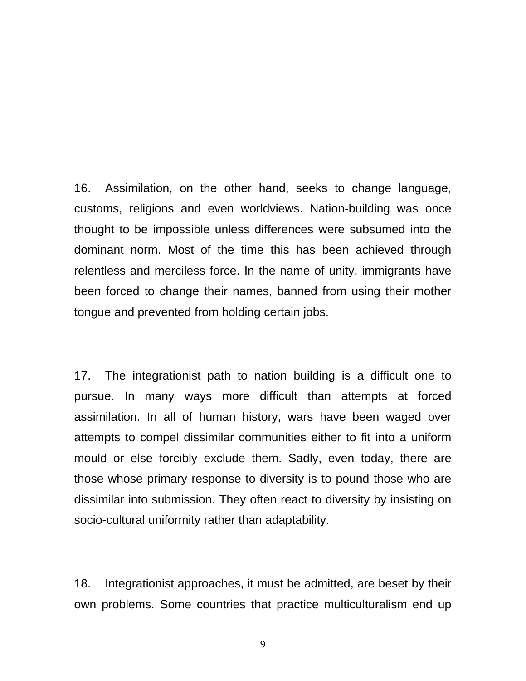16. Assimilation, on the other hand, seeks to change language, customs, religions and even worldviews. Nation-building was once thought to be impossible unless differences were subsumed into the dominant norm. Most of the time this has been achieved through relentless and merciless force. In the name of unity, immigrants have been forced to change their names, banned from using their mother tongue and prevented from holding certain jobs.

17. The integrationist path to nation building is a difficult one to pursue. In many ways more difficult than attempts at forced assimilation. In all of human history, wars have been waged over attempts to compel dissimilar communities either to fit into a uniform mould or else forcibly exclude them. Sadly, even today, there are those whose primary response to diversity is to pound those who are dissimilar into submission. They often react to diversity by insisting on socio-cultural uniformity rather than adaptability.

18. Integrationist approaches, it must be admitted, are beset by their own problems. Some countries that practice multiculturalism end up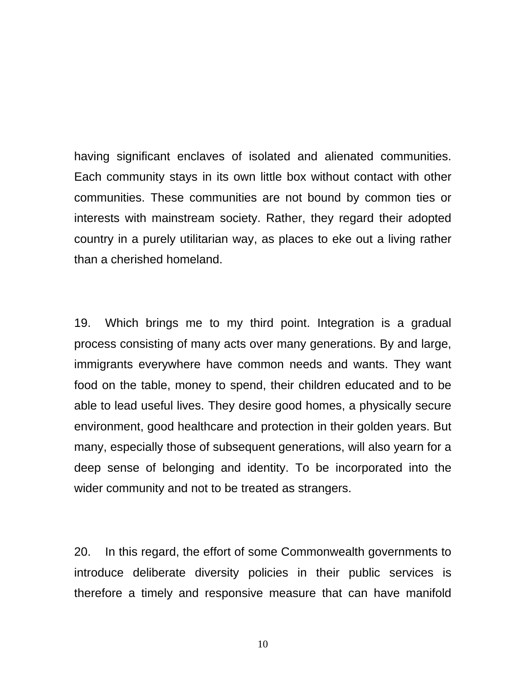having significant enclaves of isolated and alienated communities. Each community stays in its own little box without contact with other communities. These communities are not bound by common ties or interests with mainstream society. Rather, they regard their adopted country in a purely utilitarian way, as places to eke out a living rather than a cherished homeland.

19. Which brings me to my third point. Integration is a gradual process consisting of many acts over many generations. By and large, immigrants everywhere have common needs and wants. They want food on the table, money to spend, their children educated and to be able to lead useful lives. They desire good homes, a physically secure environment, good healthcare and protection in their golden years. But many, especially those of subsequent generations, will also yearn for a deep sense of belonging and identity. To be incorporated into the wider community and not to be treated as strangers.

20. In this regard, the effort of some Commonwealth governments to introduce deliberate diversity policies in their public services is therefore a timely and responsive measure that can have manifold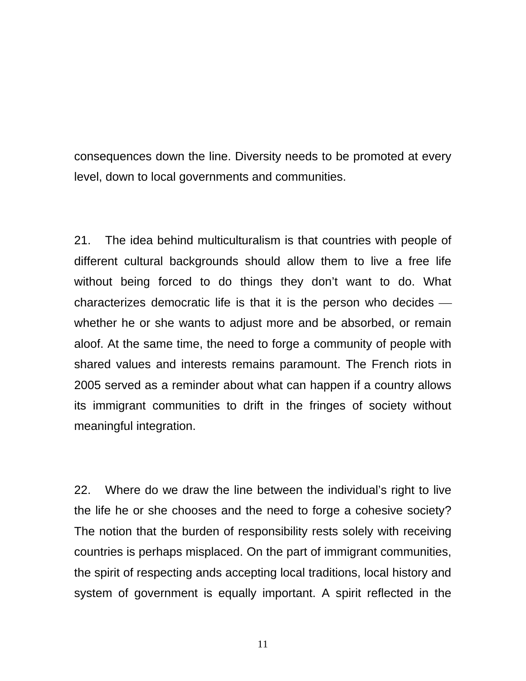consequences down the line. Diversity needs to be promoted at every level, down to local governments and communities.

21. The idea behind multiculturalism is that countries with people of different cultural backgrounds should allow them to live a free life without being forced to do things they don't want to do. What characterizes democratic life is that it is the person who decides  $$ whether he or she wants to adjust more and be absorbed, or remain aloof. At the same time, the need to forge a community of people with shared values and interests remains paramount. The French riots in 2005 served as a reminder about what can happen if a country allows its immigrant communities to drift in the fringes of society without meaningful integration.

22. Where do we draw the line between the individual's right to live the life he or she chooses and the need to forge a cohesive society? The notion that the burden of responsibility rests solely with receiving countries is perhaps misplaced. On the part of immigrant communities, the spirit of respecting ands accepting local traditions, local history and system of government is equally important. A spirit reflected in the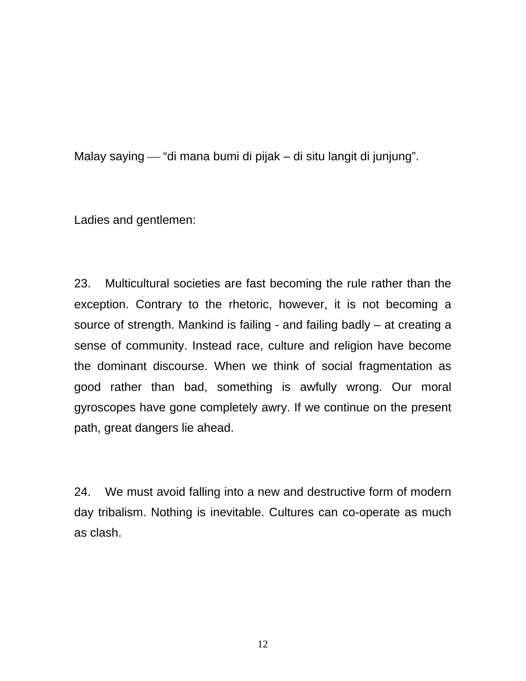Malay saying — "di mana bumi di pijak – di situ langit di junjung".

Ladies and gentlemen:

23. Multicultural societies are fast becoming the rule rather than the exception. Contrary to the rhetoric, however, it is not becoming a source of strength. Mankind is failing - and failing badly – at creating a sense of community. Instead race, culture and religion have become the dominant discourse. When we think of social fragmentation as good rather than bad, something is awfully wrong. Our moral gyroscopes have gone completely awry. If we continue on the present path, great dangers lie ahead.

24. We must avoid falling into a new and destructive form of modern day tribalism. Nothing is inevitable. Cultures can co-operate as much as clash.